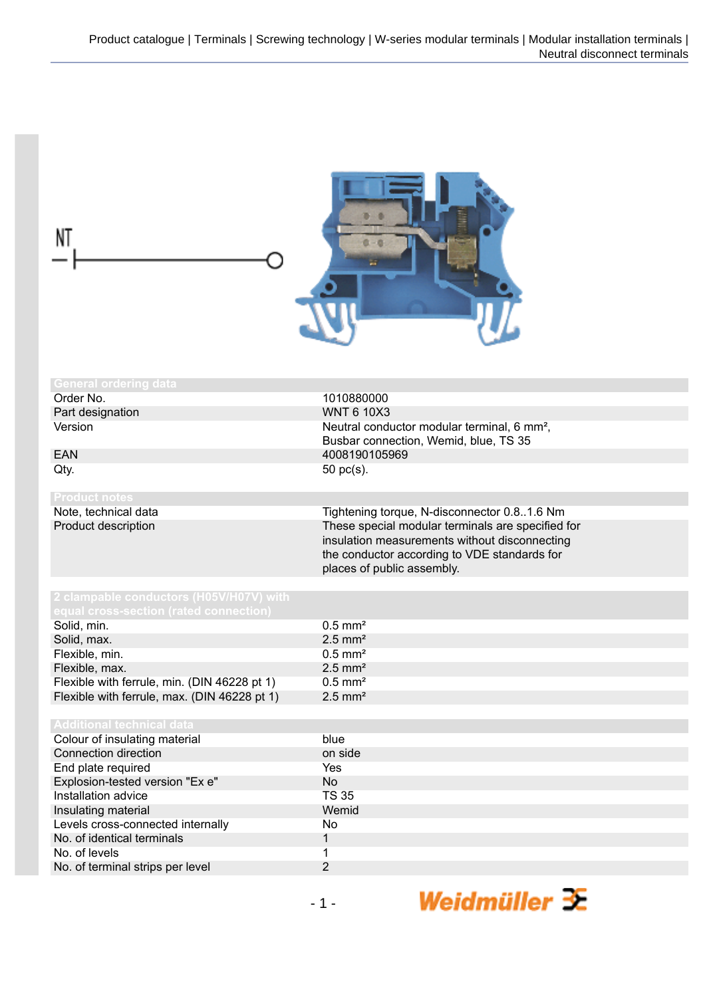| NT                                           | 在一边                                                                                                                                                                              |
|----------------------------------------------|----------------------------------------------------------------------------------------------------------------------------------------------------------------------------------|
| <b>General ordering data</b>                 |                                                                                                                                                                                  |
| Order No.                                    | 1010880000                                                                                                                                                                       |
| Part designation                             | <b>WNT 6 10X3</b>                                                                                                                                                                |
| Version                                      | Neutral conductor modular terminal, 6 mm <sup>2</sup> ,                                                                                                                          |
|                                              | Busbar connection, Wemid, blue, TS 35                                                                                                                                            |
| <b>EAN</b>                                   | 4008190105969                                                                                                                                                                    |
| Qty.                                         | 50 pc(s).                                                                                                                                                                        |
|                                              |                                                                                                                                                                                  |
| <b>Product notes</b>                         |                                                                                                                                                                                  |
| Note, technical data                         | Tightening torque, N-disconnector 0.81.6 Nm                                                                                                                                      |
| Product description                          | These special modular terminals are specified for<br>insulation measurements without disconnecting<br>the conductor according to VDE standards for<br>places of public assembly. |
| 2 clampable conductors (H05V/H07V) with      |                                                                                                                                                                                  |
| equal cross-section (rated connection)       |                                                                                                                                                                                  |
| Solid, min.                                  | $0.5$ mm <sup>2</sup>                                                                                                                                                            |
| Solid, max.                                  | $2.5$ mm <sup>2</sup>                                                                                                                                                            |
| Flexible, min.                               | $0.5$ mm <sup>2</sup>                                                                                                                                                            |
| Flexible, max.                               | $2.5$ mm <sup>2</sup>                                                                                                                                                            |
| Flexible with ferrule, min. (DIN 46228 pt 1) | $0.5$ mm <sup>2</sup>                                                                                                                                                            |
| Flexible with ferrule, max. (DIN 46228 pt 1) | $2.5$ mm <sup>2</sup>                                                                                                                                                            |
|                                              |                                                                                                                                                                                  |
| <b>Additional technical data</b>             |                                                                                                                                                                                  |
| Colour of insulating material                | blue                                                                                                                                                                             |
| Connection direction                         | on side                                                                                                                                                                          |
| End plate required                           | Yes                                                                                                                                                                              |
| Explosion-tested version "Ex e"              | <b>No</b>                                                                                                                                                                        |
| Installation advice                          | <b>TS 35</b>                                                                                                                                                                     |
| Insulating material                          | Wemid                                                                                                                                                                            |
| Levels cross-connected internally            | No                                                                                                                                                                               |
| No. of identical terminals                   | $\mathbf{1}$                                                                                                                                                                     |
| No. of levels                                | 1                                                                                                                                                                                |
| No. of terminal strips per level             | $\overline{2}$                                                                                                                                                                   |
|                                              |                                                                                                                                                                                  |
|                                              | Weidmüller $\mathcal X$<br>$-1-$                                                                                                                                                 |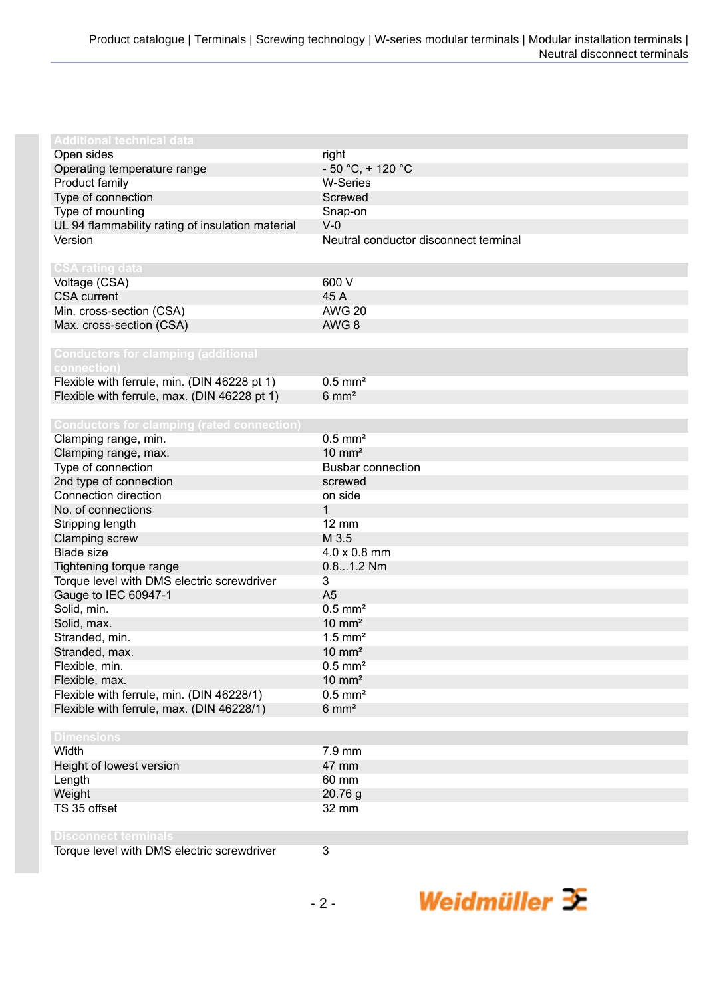| <b>Additional technical data</b>                  |                                       |
|---------------------------------------------------|---------------------------------------|
| Open sides                                        | right                                 |
| Operating temperature range                       | $-50 °C$ , + 120 °C                   |
| Product family                                    | <b>W-Series</b>                       |
| Type of connection                                | Screwed                               |
| Type of mounting                                  | Snap-on                               |
| UL 94 flammability rating of insulation material  | $V-0$                                 |
| Version                                           | Neutral conductor disconnect terminal |
|                                                   |                                       |
| <b>CSA rating data</b>                            |                                       |
| Voltage (CSA)                                     | 600 V                                 |
| <b>CSA</b> current                                | 45 A                                  |
| Min. cross-section (CSA)                          | <b>AWG 20</b>                         |
| Max. cross-section (CSA)                          | AWG <sub>8</sub>                      |
|                                                   |                                       |
| <b>Conductors for clamping (additional</b>        |                                       |
| connection)                                       |                                       |
| Flexible with ferrule, min. (DIN 46228 pt 1)      | $0.5$ mm <sup>2</sup>                 |
| Flexible with ferrule, max. (DIN 46228 pt 1)      | $6 \text{ mm}^2$                      |
|                                                   |                                       |
| <b>Conductors for clamping (rated connection)</b> |                                       |
| Clamping range, min.                              | $0.5$ mm <sup>2</sup>                 |
| Clamping range, max.                              | $10 \text{ mm}^2$                     |
| Type of connection                                | <b>Busbar connection</b>              |
| 2nd type of connection                            | screwed                               |
| Connection direction                              | on side                               |
| No. of connections                                | $\mathbf{1}$                          |
| Stripping length                                  | $12 \, \text{mm}$                     |
| Clamping screw                                    | M 3.5                                 |
| <b>Blade size</b>                                 | 4.0 x 0.8 mm                          |
| Tightening torque range                           | $0.81.2$ Nm                           |
| Torque level with DMS electric screwdriver        | 3                                     |
| Gauge to IEC 60947-1                              | A <sub>5</sub>                        |
| Solid, min.                                       | $0.5$ mm <sup>2</sup>                 |
| Solid, max.                                       | $10 \text{ mm}^2$                     |
| Stranded, min.                                    | $1.5$ mm <sup>2</sup>                 |
| Stranded, max.                                    | $10 \text{ mm}^2$                     |
| Flexible, min.                                    | $0.5$ mm <sup>2</sup>                 |
| Flexible, max.                                    | $10 \text{ mm}^2$                     |
| Flexible with ferrule, min. (DIN 46228/1)         | $0.5$ mm <sup>2</sup>                 |
| Flexible with ferrule, max. (DIN 46228/1)         | $6 \text{ mm}^2$                      |
|                                                   |                                       |
| <b>Dimensions</b>                                 |                                       |
| Width                                             | 7.9 mm                                |
| Height of lowest version                          | 47 mm                                 |
| Length                                            | 60 mm                                 |
| Weight                                            | 20.76 g                               |
| TS 35 offset                                      | 32 mm                                 |
|                                                   |                                       |
| <b>Disconnect terminals</b>                       |                                       |
| Torque level with DMS electric screwdriver        | 3                                     |
|                                                   |                                       |

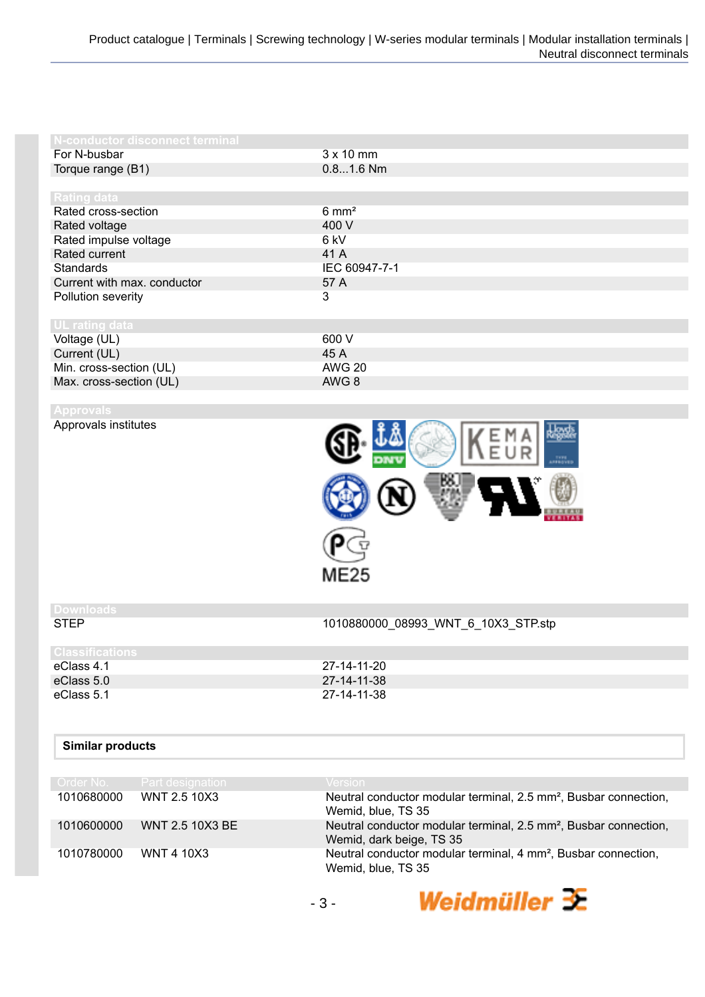| N-conductor disconnect terminal |                  |
|---------------------------------|------------------|
| For N-busbar                    | $3 \times 10$ mm |
| Torque range (B1)               | $0.81.6$ Nm      |
|                                 |                  |
| <b>Rating data</b>              |                  |
| Rated cross-section             | $6 \text{ mm}^2$ |
| Rated voltage                   | 400 V            |
| Rated impulse voltage           | 6 kV             |
| Rated current                   | 41 A             |
| <b>Standards</b>                | IEC 60947-7-1    |
| Current with max. conductor     | 57 A             |
| Pollution severity              | 3                |
|                                 |                  |
| <b>UL</b> rating data           |                  |
| Voltage (UL)                    | 600 V            |
| Current (UL)                    | 45 A             |
| Min. cross-section (UL)         | <b>AWG 20</b>    |
| Max. cross-section (UL)         | AWG 8            |

Approvals institutes

| $E \cup R$                  | <b>By Part</b><br>LEESIVES |
|-----------------------------|----------------------------|
| $\boldsymbol{\theta}$<br>'N |                            |
| ME25                        |                            |

## **Downloads**

STEP 1010880000\_08993\_WNT\_6\_10X3\_STP.stp

Weidmüller  $\mathcal{\mathcal{F}}$ 

| l Classifications |             |
|-------------------|-------------|
| eClass 4.1        | 27-14-11-20 |
| eClass 5.0        | 27-14-11-38 |
| eClass 5.1        | 27-14-11-38 |
|                   |             |

## **Similar products**

|            | Order No. Part designation | <b>Version</b>                                                                                           |
|------------|----------------------------|----------------------------------------------------------------------------------------------------------|
| 1010680000 | WNT 2.5 10X3               | Neutral conductor modular terminal, 2.5 mm <sup>2</sup> , Busbar connection,<br>Wemid, blue, TS 35       |
| 1010600000 | WNT 2.5 10X3 BE            | Neutral conductor modular terminal, 2.5 mm <sup>2</sup> , Busbar connection,<br>Wemid, dark beige, TS 35 |
| 1010780000 | <b>WNT 4 10X3</b>          | Neutral conductor modular terminal, 4 mm <sup>2</sup> , Busbar connection,<br>Wemid, blue, TS 35         |